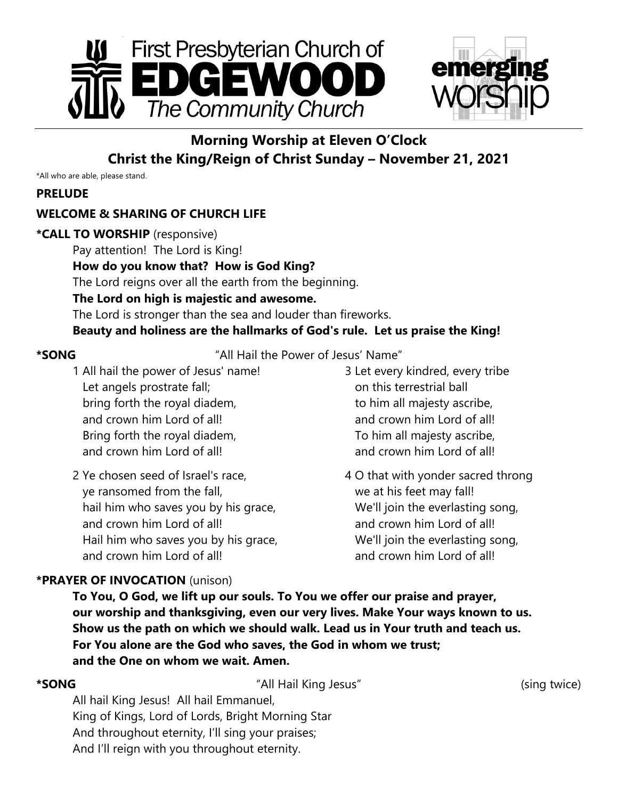



## **Morning Worship at Eleven O'Clock Christ the King/Reign of Christ Sunday – November 21, 2021**

\*All who are able, please stand.

#### **PRELUDE**

#### **WELCOME & SHARING OF CHURCH LIFE**

**\*CALL TO WORSHIP** (responsive)

Pay attention! The Lord is King!

#### **How do you know that? How is God King?**

The Lord reigns over all the earth from the beginning.

#### **The Lord on high is majestic and awesome.**

The Lord is stronger than the sea and louder than fireworks.

#### **Beauty and holiness are the hallmarks of God's rule. Let us praise the King!**

**\*SONG** "All Hail the Power of Jesus' Name"

- 1 All hail the power of Jesus' name! Let angels prostrate fall; bring forth the royal diadem, and crown him Lord of all! Bring forth the royal diadem, and crown him Lord of all!
- 2 Ye chosen seed of Israel's race, ye ransomed from the fall, hail him who saves you by his grace, and crown him Lord of all! Hail him who saves you by his grace, and crown him Lord of all!
- 3 Let every kindred, every tribe on this terrestrial ball to him all majesty ascribe, and crown him Lord of all! To him all majesty ascribe, and crown him Lord of all!
- 4 O that with yonder sacred throng we at his feet may fall! We'll join the everlasting song, and crown him Lord of all! We'll join the everlasting song, and crown him Lord of all!

### **\*PRAYER OF INVOCATION** (unison)

**To You, O God, we lift up our souls. To You we offer our praise and prayer, our worship and thanksgiving, even our very lives. Make Your ways known to us. Show us the path on which we should walk. Lead us in Your truth and teach us. For You alone are the God who saves, the God in whom we trust; and the One on whom we wait. Amen.**

**\*SONG** "All Hail King Jesus" (sing twice)

All hail King Jesus! All hail Emmanuel, King of Kings, Lord of Lords, Bright Morning Star And throughout eternity, I'll sing your praises; And I'll reign with you throughout eternity.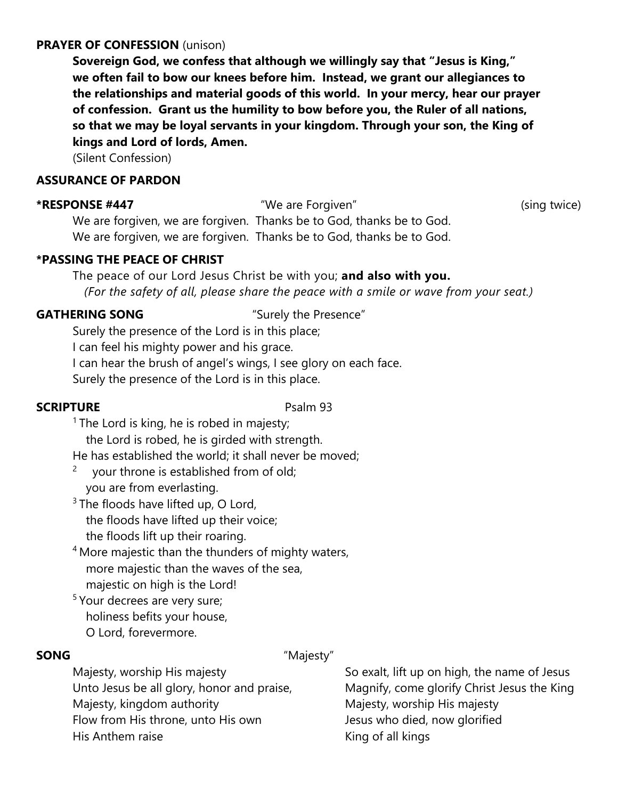#### **PRAYER OF CONFESSION** (unison)

**Sovereign God, we confess that although we willingly say that "Jesus is King," we often fail to bow our knees before him. Instead, we grant our allegiances to the relationships and material goods of this world. In your mercy, hear our prayer of confession. Grant us the humility to bow before you, the Ruler of all nations, so that we may be loyal servants in your kingdom. Through your son, the King of kings and Lord of lords, Amen.**

(Silent Confession)

#### **ASSURANCE OF PARDON**

#### **\*RESPONSE #447** "We are Forgiven" (sing twice)

We are forgiven, we are forgiven. Thanks be to God, thanks be to God. We are forgiven, we are forgiven. Thanks be to God, thanks be to God.

#### **\*PASSING THE PEACE OF CHRIST**

The peace of our Lord Jesus Christ be with you; **and also with you.** *(For the safety of all, please share the peace with a smile or wave from your seat.)*

**GATHERING SONG** "Surely the Presence"

Surely the presence of the Lord is in this place;

I can feel his mighty power and his grace.

I can hear the brush of angel's wings, I see glory on each face.

Surely the presence of the Lord is in this place.

#### **SCRIPTURE** Psalm 93

<sup>1</sup> The Lord is king, he is robed in majesty;

the Lord is robed, he is girded with strength.

He has established the world; it shall never be moved;

- your throne is established from of old; you are from everlasting.
- $3$  The floods have lifted up, O Lord, the floods have lifted up their voice; the floods lift up their roaring.
- <sup>4</sup> More majestic than the thunders of mighty waters, more majestic than the waves of the sea, majestic on high is the Lord!
- <sup>5</sup> Your decrees are very sure; holiness befits your house, O Lord, forevermore.

**SONG** "Majesty"

Majesty, worship His majesty Unto Jesus be all glory, honor and praise, Majesty, kingdom authority Flow from His throne, unto His own His Anthem raise

So exalt, lift up on high, the name of Jesus Magnify, come glorify Christ Jesus the King Majesty, worship His majesty Jesus who died, now glorified King of all kings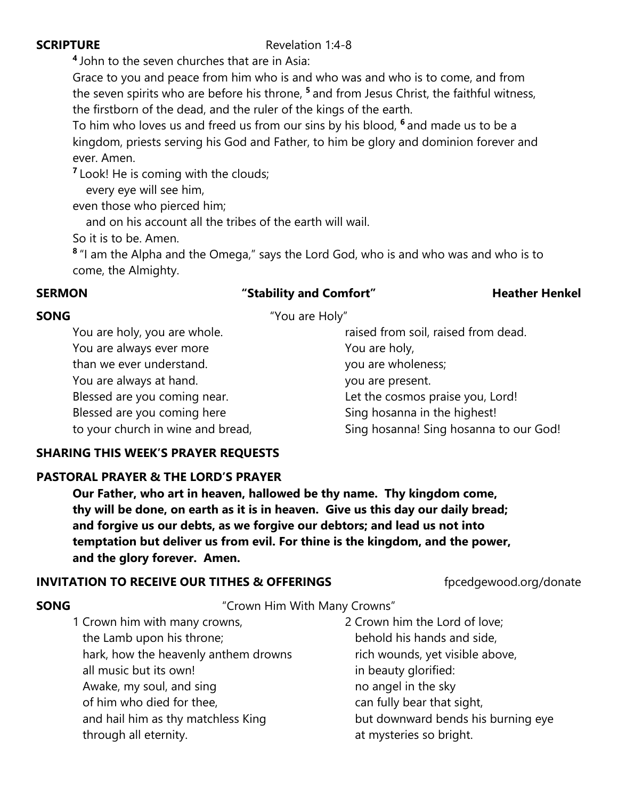#### **SCRIPTURE** Revelation 1:4-8

**<sup>4</sup>** John to the seven churches that are in Asia:

Grace to you and peace from him who is and who was and who is to come, and from the seven spirits who are before his throne, **<sup>5</sup>** and from Jesus Christ, the faithful witness, the firstborn of the dead, and the ruler of the kings of the earth.

To him who loves us and freed us from our sins by his blood, **<sup>6</sup>** and made us to be a kingdom, priests serving his God and Father, to him be glory and dominion forever and ever. Amen.

**<sup>7</sup>** Look! He is coming with the clouds;

every eye will see him,

even those who pierced him;

and on his account all the tribes of the earth will wail.

So it is to be. Amen.

**<sup>8</sup>** "I am the Alpha and the Omega," says the Lord God, who is and who was and who is to come, the Almighty.

### **SERMON** *"Stability and Comfort"* **<b>Heather Henkel**

**SONG** "You are Holy"

You are holy, you are whole. You are always ever more than we ever understand. You are always at hand. Blessed are you coming near. Blessed are you coming here to your church in wine and bread, raised from soil, raised from dead. You are holy, you are wholeness; you are present. Let the cosmos praise you, Lord! Sing hosanna in the highest! Sing hosanna! Sing hosanna to our God!

### **SHARING THIS WEEK'S PRAYER REQUESTS**

### **PASTORAL PRAYER & THE LORD'S PRAYER**

**Our Father, who art in heaven, hallowed be thy name. Thy kingdom come, thy will be done, on earth as it is in heaven. Give us this day our daily bread; and forgive us our debts, as we forgive our debtors; and lead us not into temptation but deliver us from evil. For thine is the kingdom, and the power, and the glory forever. Amen.**

### **INVITATION TO RECEIVE OUR TITHES & OFFERINGS** fpcedgewood.org/donate

**SONG** "Crown Him With Many Crowns"

1 Crown him with many crowns, the Lamb upon his throne; hark, how the heavenly anthem drowns all music but its own! Awake, my soul, and sing of him who died for thee, and hail him as thy matchless King through all eternity.

2 Crown him the Lord of love; behold his hands and side, rich wounds, yet visible above, in beauty glorified: no angel in the sky can fully bear that sight, but downward bends his burning eye at mysteries so bright.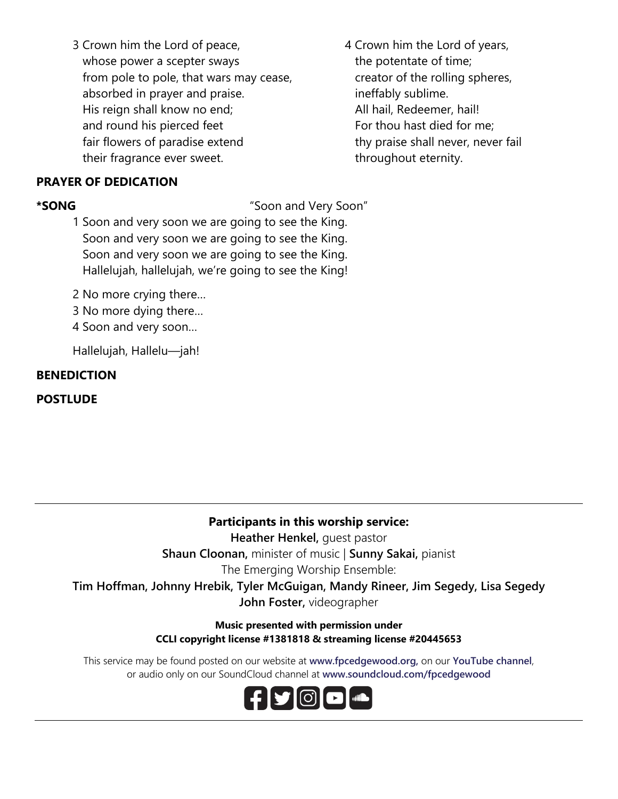3 Crown him the Lord of peace, whose power a scepter sways from pole to pole, that wars may cease, absorbed in prayer and praise. His reign shall know no end; and round his pierced feet fair flowers of paradise extend their fragrance ever sweet.

4 Crown him the Lord of years, the potentate of time; creator of the rolling spheres, ineffably sublime. All hail, Redeemer, hail! For thou hast died for me; thy praise shall never, never fail throughout eternity.

#### **PRAYER OF DEDICATION**

**\*SONG** "Soon and Very Soon"

1 Soon and very soon we are going to see the King. Soon and very soon we are going to see the King. Soon and very soon we are going to see the King. Hallelujah, hallelujah, we're going to see the King!

2 No more crying there…

- 3 No more dying there…
- 4 Soon and very soon…

Hallelujah, Hallelu—jah!

#### **BENEDICTION**

#### **POSTLUDE**

**Participants in this worship service: Heather Henkel,** guest pastor **Shaun Cloonan,** minister of music | **Sunny Sakai,** pianist The Emerging Worship Ensemble: **Tim Hoffman, Johnny Hrebik, Tyler McGuigan, Mandy Rineer, Jim Segedy, Lisa Segedy John Foster,** videographer

> **Music presented with permission under CCLI copyright license #1381818 & streaming license #20445653**

This service may be found posted on our website at **www.fpcedgewood.org,** on our **YouTube channel**, or audio only on our SoundCloud channel at **www.soundcloud.com/fpcedgewood**

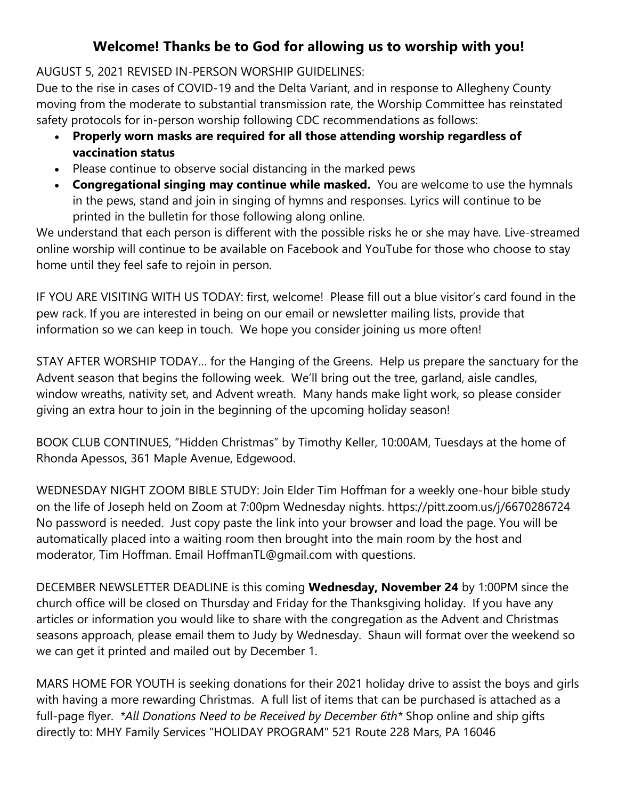### **Welcome! Thanks be to God for allowing us to worship with you!**

### AUGUST 5, 2021 REVISED IN-PERSON WORSHIP GUIDELINES:

Due to the rise in cases of COVID-19 and the Delta Variant, and in response to Allegheny County moving from the moderate to substantial transmission rate, the Worship Committee has reinstated safety protocols for in-person worship following CDC recommendations as follows:

- **Properly worn masks are required for all those attending worship regardless of vaccination status**
- Please continue to observe social distancing in the marked pews
- **Congregational singing may continue while masked.** You are welcome to use the hymnals in the pews, stand and join in singing of hymns and responses. Lyrics will continue to be printed in the bulletin for those following along online.

We understand that each person is different with the possible risks he or she may have. Live-streamed online worship will continue to be available on Facebook and YouTube for those who choose to stay home until they feel safe to rejoin in person.

IF YOU ARE VISITING WITH US TODAY: first, welcome! Please fill out a blue visitor's card found in the pew rack. If you are interested in being on our email or newsletter mailing lists, provide that information so we can keep in touch. We hope you consider joining us more often!

STAY AFTER WORSHIP TODAY… for the Hanging of the Greens. Help us prepare the sanctuary for the Advent season that begins the following week. We'll bring out the tree, garland, aisle candles, window wreaths, nativity set, and Advent wreath. Many hands make light work, so please consider giving an extra hour to join in the beginning of the upcoming holiday season!

BOOK CLUB CONTINUES, "Hidden Christmas" by Timothy Keller, 10:00AM, Tuesdays at the home of Rhonda Apessos, 361 Maple Avenue, Edgewood.

WEDNESDAY NIGHT ZOOM BIBLE STUDY: Join Elder Tim Hoffman for a weekly one-hour bible study on the life of Joseph held on Zoom at 7:00pm Wednesday nights. https://pitt.zoom.us/j/6670286724 No password is needed. Just copy paste the link into your browser and load the page. You will be automatically placed into a waiting room then brought into the main room by the host and moderator, Tim Hoffman. Email HoffmanTL@gmail.com with questions.

DECEMBER NEWSLETTER DEADLINE is this coming **Wednesday, November 24** by 1:00PM since the church office will be closed on Thursday and Friday for the Thanksgiving holiday. If you have any articles or information you would like to share with the congregation as the Advent and Christmas seasons approach, please email them to Judy by Wednesday. Shaun will format over the weekend so we can get it printed and mailed out by December 1.

MARS HOME FOR YOUTH is seeking donations for their 2021 holiday drive to assist the boys and girls with having a more rewarding Christmas. A full list of items that can be purchased is attached as a full-page flyer. *\*All Donations Need to be Received by December 6th\** Shop online and ship gifts directly to: MHY Family Services "HOLIDAY PROGRAM" 521 Route 228 Mars, PA 16046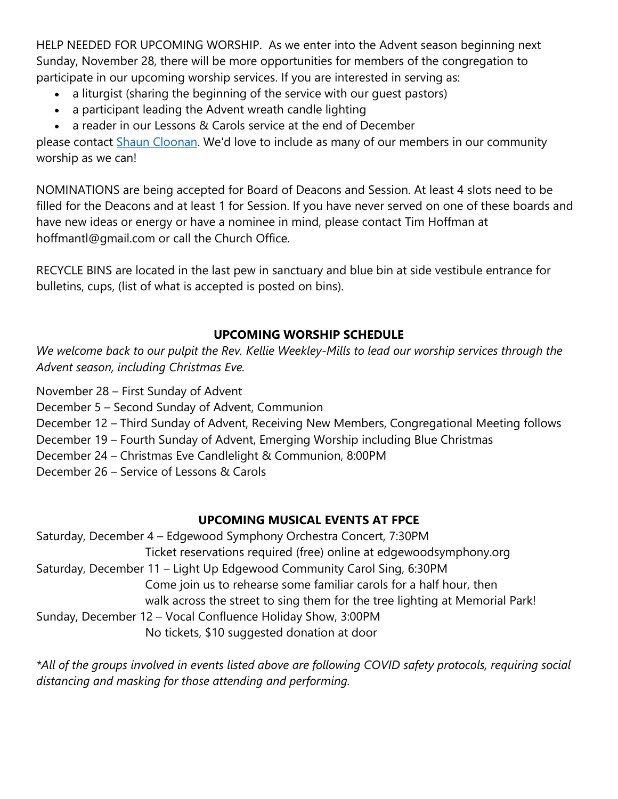HELP NEEDED FOR UPCOMING WORSHIP. As we enter into the Advent season beginning next Sunday, November 28, there will be more opportunities for members of the congregation to participate in our upcoming worship services. If you are interested in serving as:

- a liturgist (sharing the beginning of the service with our guest pastors)
- a participant leading the Advent wreath candle lighting
- a reader in our Lessons & Carols service at the end of December

please contact Shaun Cloonan. We'd love to include as many of our members in our community worship as we can!

NOMINATIONS are being accepted for Board of Deacons and Session. At least 4 slots need to be filled for the Deacons and at least 1 for Session. If you have never served on one of these boards and have new ideas or energy or have a nominee in mind, please contact Tim Hoffman at hoffmantl@gmail.com or call the Church Office.

RECYCLE BINS are located in the last pew in sanctuary and blue bin at side vestibule entrance for bulletins, cups, (list of what is accepted is posted on bins).

### **UPCOMING WORSHIP SCHEDULE**

*We welcome back to our pulpit the Rev. Kellie Weekley-Mills to lead our worship services through the Advent season, including Christmas Eve.*

November 28 – First Sunday of Advent

December 5 – Second Sunday of Advent, Communion

December 12 – Third Sunday of Advent, Receiving New Members, Congregational Meeting follows

December 19 – Fourth Sunday of Advent, Emerging Worship including Blue Christmas

- December 24 Christmas Eve Candlelight & Communion, 8:00PM
- December 26 Service of Lessons & Carols

### **UPCOMING MUSICAL EVENTS AT FPCE**

Saturday, December 4 – Edgewood Symphony Orchestra Concert, 7:30PM Ticket reservations required (free) online at edgewoodsymphony.org Saturday, December 11 – Light Up Edgewood Community Carol Sing, 6:30PM Come join us to rehearse some familiar carols for a half hour, then walk across the street to sing them for the tree lighting at Memorial Park! Sunday, December 12 – Vocal Confluence Holiday Show, 3:00PM No tickets, \$10 suggested donation at door

*\*All of the groups involved in events listed above are following COVID safety protocols, requiring social distancing and masking for those attending and performing.*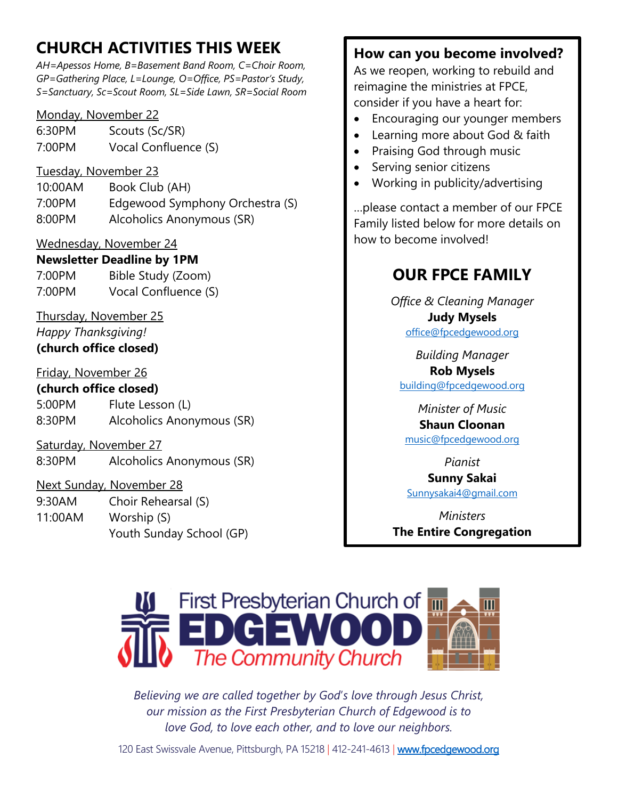# **CHURCH ACTIVITIES THIS WEEK**

*AH=Apessos Home, B=Basement Band Room, C=Choir Room, GP=Gathering Place, L=Lounge, O=Office, PS=Pastor's Study, S=Sanctuary, Sc=Scout Room, SL=Side Lawn, SR=Social Room* 

### Monday, November 22

6:30PM Scouts (Sc/SR) 7:00PM Vocal Confluence (S)

### Tuesday, November 23

10:00AM Book Club (AH) 7:00PM Edgewood Symphony Orchestra (S) 8:00PM Alcoholics Anonymous (SR)

### Wednesday, November 24

**Newsletter Deadline by 1PM** 7:00PM Bible Study (Zoom)

7:00PM Vocal Confluence (S)

Thursday, November 25 *Happy Thanksgiving!*

### **(church office closed)**

Friday, November 26

### **(church office closed)**

5:00PM Flute Lesson (L) 8:30PM Alcoholics Anonymous (SR)

Saturday, November 27 8:30PM Alcoholics Anonymous (SR)

### Next Sunday, November 28

9:30AM Choir Rehearsal (S) 11:00AM Worship (S) Youth Sunday School (GP)

### **How can you become involved?**

As we reopen, working to rebuild and reimagine the ministries at FPCE, consider if you have a heart for:

- Encouraging our younger members
- Learning more about God & faith
- Praising God through music
- Serving senior citizens
- Working in publicity/advertising

…please contact a member of our FPCE Family listed below for more details on how to become involved!

## **OUR FPCE FAMILY**

*Office & Cleaning Manager* **Judy Mysels** office@fpcedgewood.org

*Building Manager* **Rob Mysels** building@fpcedgewood.org

> *Minister of Music* **Shaun Cloonan**

music@fpcedgewood.org

*Pianist* **Sunny Sakai** Sunnysakai4@gmail.com

*Ministers* **The Entire Congregation**



*Believing we are called together by God*'*s love through Jesus Christ, our mission as the First Presbyterian Church of Edgewood is to love God, to love each other, and to love our neighbors.*

120 East Swissvale Avenue, Pittsburgh, PA 15218 | 412-241-4613 | www.fpcedgewood.org